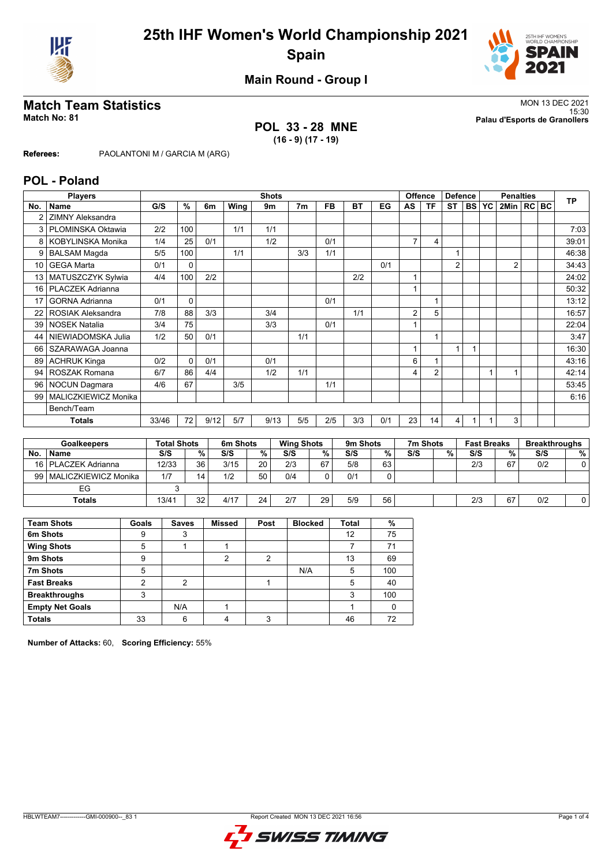



**Main Round - Group I**

**POL 33 - 28 MNE (16 - 9) (17 - 19)**

**Match Team Statistics** MON 13 DEC 2021 15:30 **Match No: 81 Palau d'Esports de Granollers**

**Referees:** PAOLANTONI M / GARCIA M (ARG)

### **POL - Poland**

|        | <b>Players</b>           |                    |             |        |                      |        | <b>Shots</b> |                   |           |           |        |                | Offence                 |                | <b>Defence</b> |                    | <b>Penalties</b> |        | <b>TP</b>            |
|--------|--------------------------|--------------------|-------------|--------|----------------------|--------|--------------|-------------------|-----------|-----------|--------|----------------|-------------------------|----------------|----------------|--------------------|------------------|--------|----------------------|
| No.    | <b>Name</b>              | G/S                | $\%$        | 6m     | Wing                 |        | 9m           | 7 <sub>m</sub>    | <b>FB</b> | <b>BT</b> | EG     | AS             | <b>TF</b>               | <b>ST</b>      | <b>BS</b>      | YC                 | 2Min   RC   BC   |        |                      |
|        | <b>ZIMNY Aleksandra</b>  |                    |             |        |                      |        |              |                   |           |           |        |                |                         |                |                |                    |                  |        |                      |
| 3      | PLOMINSKA Oktawia        | 2/2                | 100         |        | 1/1                  |        | 1/1          |                   |           |           |        |                |                         |                |                |                    |                  |        | 7:03                 |
| 8      | <b>KOBYLINSKA Monika</b> | 1/4                | 25          | 0/1    |                      |        | 1/2          |                   | 0/1       |           |        | $\overline{7}$ | $\overline{\mathbf{4}}$ |                |                |                    |                  |        | 39:01                |
| 9      | <b>BALSAM Magda</b>      | 5/5                | 100         |        | 1/1                  |        |              | 3/3               | 1/1       |           |        |                |                         | 1              |                |                    |                  |        | 46:38                |
| 10     | <b>GEGA Marta</b>        | 0/1                | 0           |        |                      |        |              |                   |           |           | 0/1    |                |                         | $\overline{2}$ |                |                    | 2                |        | 34:43                |
| 13     | MATUSZCZYK Sylwia        | 4/4                | 100         | 2/2    |                      |        |              |                   |           | 2/2       |        |                |                         |                |                |                    |                  |        | 24:02                |
| 16     | <b>PLACZEK Adrianna</b>  |                    |             |        |                      |        |              |                   |           |           |        |                |                         |                |                |                    |                  |        | 50:32                |
| 17     | <b>GORNA Adrianna</b>    | 0/1                | 0           |        |                      |        |              |                   | 0/1       |           |        |                |                         |                |                |                    |                  |        | 13:12                |
| 22     | <b>ROSIAK Aleksandra</b> | 7/8                | 88          | 3/3    |                      |        | 3/4          |                   |           | 1/1       |        | $\overline{2}$ | 5                       |                |                |                    |                  |        | 16:57                |
| 39     | <b>NOSEK Natalia</b>     | 3/4                | 75          |        |                      |        | 3/3          |                   | 0/1       |           |        |                |                         |                |                |                    |                  |        | 22:04                |
| 44     | NIEWIADOMSKA Julia       | 1/2                | 50          | 0/1    |                      |        |              | 1/1               |           |           |        |                |                         |                |                |                    |                  |        | 3:47                 |
| 66     | SZARAWAGA Joanna         |                    |             |        |                      |        |              |                   |           |           |        |                |                         | 1              |                |                    |                  |        | 16:30                |
| 89     | <b>ACHRUK Kinga</b>      | 0/2                | $\mathbf 0$ | 0/1    |                      |        | 0/1          |                   |           |           |        | 6              |                         |                |                |                    |                  |        | 43:16                |
| 94     | ROSZAK Romana            | 6/7                | 86          | 4/4    |                      |        | 1/2          | 1/1               |           |           |        | 4              | $\overline{2}$          |                |                |                    |                  |        | 42:14                |
| 96     | NOCUN Dagmara            | 4/6                | 67          |        | 3/5                  |        |              |                   | 1/1       |           |        |                |                         |                |                |                    |                  |        | 53:45                |
| 99     | MALICZKIEWICZ Monika     |                    |             |        |                      |        |              |                   |           |           |        |                |                         |                |                |                    |                  |        | 6:16                 |
|        | Bench/Team               |                    |             |        |                      |        |              |                   |           |           |        |                |                         |                |                |                    |                  |        |                      |
|        | <b>Totals</b>            | 33/46              | 72          | 9/12   | 5/7                  |        | 9/13         | 5/5               | 2/5       | 3/3       | 0/1    | 23             | 14                      | 4              |                |                    | 3                |        |                      |
|        |                          |                    |             |        |                      |        |              |                   |           |           |        |                |                         |                |                |                    |                  |        |                      |
|        | <b>Goalkeepers</b>       | <b>Total Shots</b> |             |        | 6m Shots             |        |              | <b>Wing Shots</b> |           | 9m Shots  |        |                | 7m Shots                |                |                | <b>Fast Breaks</b> |                  |        | <b>Breakthroughs</b> |
| No.    | Name                     | S/S                |             | %      | S/S                  | $\%$   |              | S/S               | $\%$      | S/S       | %      | S/S            |                         | $\%$           | S/S            |                    | %                | S/S    | %                    |
| $\sim$ |                          | 10100              |             | $\sim$ | $\sim$ $\sim$ $\sim$ | $\sim$ |              | $\sim$            | $\sim$    | $-10$     | $\sim$ |                |                         |                | $\sim$         |                    | $\sim$           | $\sim$ | $\sim$               |

| No. | <b>Name</b>           | S/S   | ℅  | S/S  | %  | S/S | ℅  | S/S | %  | S/S | % | S/S | %  | S/S | %⊣ |
|-----|-----------------------|-------|----|------|----|-----|----|-----|----|-----|---|-----|----|-----|----|
|     | 16   PLACZEK Adrianna | 12/33 | 36 | 3/15 | 20 | 2/3 | 67 | 5/8 | 63 |     |   | 2/3 | 67 | 0/2 |    |
| 99  | MALICZKIEWICZ Monika  | 1/7   | 14 | 1/2  | 50 | 0/4 |    | 0/1 | 0  |     |   |     |    |     |    |
|     | ЕG                    |       |    |      |    |     |    |     |    |     |   |     |    |     |    |
|     | Totals                | 13/41 | 32 | 4/17 | 24 | 2/7 | 29 | 5/9 | 56 |     |   | 2/3 | 67 | 0/2 |    |
|     |                       |       |    |      |    |     |    |     |    |     |   |     |    |     |    |

| <b>Team Shots</b>      | Goals          | <b>Saves</b>   | <b>Missed</b> | Post | <b>Blocked</b> | <b>Total</b> | %   |
|------------------------|----------------|----------------|---------------|------|----------------|--------------|-----|
| 6m Shots               | 9              | 3              |               |      |                | 12           | 75  |
| <b>Wing Shots</b>      | 5              |                |               |      |                |              | 71  |
| 9m Shots               | 9              |                | っ             | 2    |                | 13           | 69  |
| 7m Shots               | 5              |                |               |      | N/A            | 5            | 100 |
| <b>Fast Breaks</b>     | $\overline{2}$ | $\overline{2}$ |               |      |                | 5            | 40  |
| <b>Breakthroughs</b>   | 3              |                |               |      |                | 3            | 100 |
| <b>Empty Net Goals</b> |                | N/A            |               |      |                |              |     |
| <b>Totals</b>          | 33             | 6              |               | ົ    |                | 46           | 72  |

**Number of Attacks:** 60, **Scoring Efficiency:** 55%

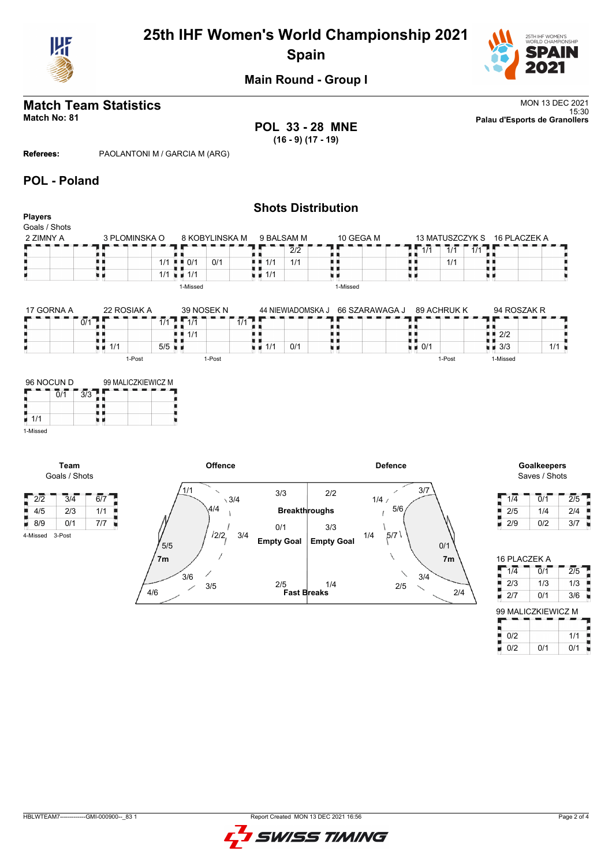

# **25th IHF Women's World Championship 2021 Spain**



## **Main Round - Group I**

**POL 33 - 28 MNE (16 - 9) (17 - 19)**

**Match Team Statistics** MON 13 DEC 2021 15:30 **Match No: 81 Palau d'Esports de Granollers**

**Referees:** PAOLANTONI M / GARCIA M (ARG)

### **POL - Poland**

|                |                                   |                                                 | <b>Shots Distribution</b>              |                |                                   |                                          |
|----------------|-----------------------------------|-------------------------------------------------|----------------------------------------|----------------|-----------------------------------|------------------------------------------|
| <b>Players</b> |                                   |                                                 |                                        |                |                                   |                                          |
| Goals / Shots  |                                   |                                                 |                                        |                |                                   |                                          |
| 2 ZIMNY A      | 3 PLOMINSKA O                     | 8 KOBYLINSKA M                                  | 9 BALSAM M                             | 10 GEGA M      | 13 MATUSZCZYK S                   | 16 PLACZEK A                             |
|                |                                   |                                                 | 2/2                                    |                | 1/1<br>1/1<br>1/1                 |                                          |
|                |                                   | 0/1<br>1/1<br>$\blacksquare$ $\blacksquare$ 0/1 | 1/1<br>1/1                             |                | 1/1                               |                                          |
|                | . .<br>u d                        | $\blacksquare$ 1/1<br>1/1                       | $\blacksquare$ 1/1                     | нг             |                                   |                                          |
|                |                                   | 1-Missed                                        |                                        | 1-Missed       |                                   |                                          |
|                |                                   |                                                 |                                        |                |                                   |                                          |
| 17 GORNA A     | 22 ROSIAK A                       | 39 NOSEK N                                      | 44 NIEWIADOMSKA J                      | 66 SZARAWAGA J | 89 ACHRUK K                       | 94 ROSZAK R                              |
|                | 0/1                               | $1/1$ $\sqrt{1/1}$                              | $\overline{1/1}$                       |                |                                   |                                          |
|                |                                   | 1/1                                             |                                        |                |                                   | 2/2                                      |
|                | $\blacksquare$ $\blacksquare$ 1/1 | $5/5$ $\blacksquare$                            | $\frac{1}{2}$ $\frac{1}{2}$ 1/1<br>0/1 | u<br>üθ        | $\blacksquare$ $\blacksquare$ 0/1 | 1/1<br>$\blacksquare$ $\blacksquare$ 3/3 |
|                | 1-Post                            | 1-Post                                          |                                        |                | 1-Post                            | 1-Missed                                 |
|                |                                   |                                                 |                                        |                |                                   |                                          |
| 96 NOCUN D     | 99 MALICZKIEWICZ M                |                                                 |                                        |                |                                   |                                          |
| 0/1            | 3/3                               |                                                 |                                        |                |                                   |                                          |



**Team** Goals / Shots

4-Missed 3-Post



# Saves / Shots

| 1/4 | 0/1 | 2/5 |
|-----|-----|-----|
| 2/5 | 1/4 | 2/4 |
| 2/9 | 0/2 | 3/7 |

| 16 PLACZEK A       |                             |                  |
|--------------------|-----------------------------|------------------|
| 1/4                | $\overline{0}/\overline{1}$ | $\overline{2/5}$ |
| 2/3                | 1/3                         | 1/3              |
| 2/7                | 0/1                         | 3/6              |
| 99 MALICZKIEWICZ M |                             |                  |
|                    |                             |                  |
| 0/2                |                             | 1/1              |
| 0/2                | 0/1                         | 0/1              |

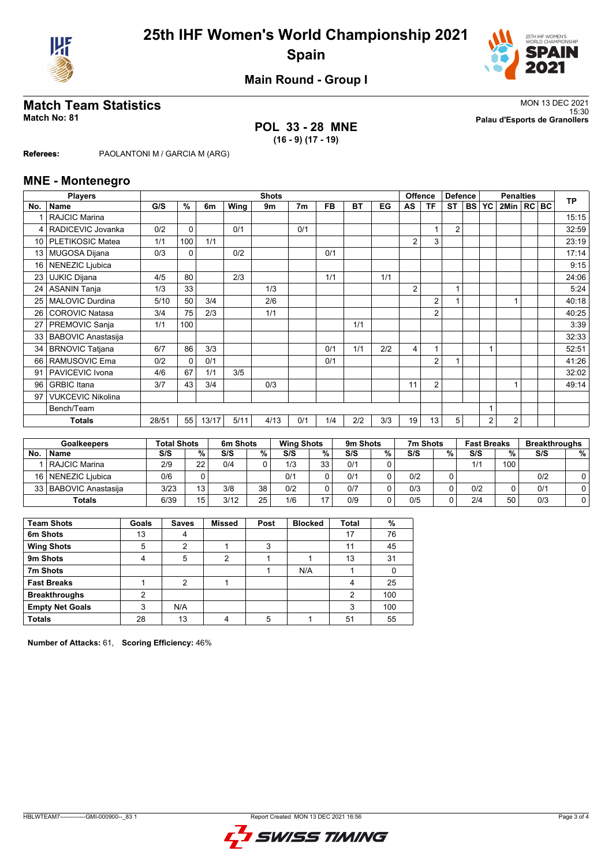



**Main Round - Group I**

### **POL 33 - 28 MNE (16 - 9) (17 - 19)**

**Match Team Statistics** MON 13 DEC 2021 15:30 **Match No: 81 Palau d'Esports de Granollers**

**Referees:** PAOLANTONI M / GARCIA M (ARG)

### **MNE - Montenegro**

|                 | <b>Players</b>            |       |          |       |      | <b>Shots</b> |     |     |     |     | Offence<br><b>Defence</b><br><b>Penalties</b> |                |                |  |                | <b>TP</b>      |  |       |
|-----------------|---------------------------|-------|----------|-------|------|--------------|-----|-----|-----|-----|-----------------------------------------------|----------------|----------------|--|----------------|----------------|--|-------|
| No.             | Name                      | G/S   | %        | 6m    | Wing | 9m           | 7m  | FB. | BT  | EG  | AS                                            | ΤF             | ST             |  | BS YC          | 2Min   RC BC   |  |       |
|                 | <b>RAJCIC Marina</b>      |       |          |       |      |              |     |     |     |     |                                               |                |                |  |                |                |  | 15:15 |
| 4               | RADICEVIC Jovanka         | 0/2   | 0        |       | 0/1  |              | 0/1 |     |     |     |                                               |                | $\overline{2}$ |  |                |                |  | 32:59 |
| 10 <sup>1</sup> | PLETIKOSIC Matea          | 1/1   | 100      | 1/1   |      |              |     |     |     |     | $\overline{2}$                                | 3              |                |  |                |                |  | 23:19 |
| 13              | <b>MUGOSA Dijana</b>      | 0/3   | 0        |       | 0/2  |              |     | 0/1 |     |     |                                               |                |                |  |                |                |  | 17:14 |
| 16              | <b>NENEZIC Ljubica</b>    |       |          |       |      |              |     |     |     |     |                                               |                |                |  |                |                |  | 9:15  |
| 23              | <b>UJKIC Dijana</b>       | 4/5   | 80       |       | 2/3  |              |     | 1/1 |     | 1/1 |                                               |                |                |  |                |                |  | 24:06 |
| 24              | <b>ASANIN Tanja</b>       | 1/3   | 33       |       |      | 1/3          |     |     |     |     | 2                                             |                | 1              |  |                |                |  | 5:24  |
| 25              | MALOVIC Durdina           | 5/10  | 50       | 3/4   |      | 2/6          |     |     |     |     |                                               | $\overline{2}$ |                |  |                |                |  | 40:18 |
| 26              | <b>COROVIC Natasa</b>     | 3/4   | 75       | 2/3   |      | 1/1          |     |     |     |     |                                               | $\overline{2}$ |                |  |                |                |  | 40:25 |
| 27              | PREMOVIC Sanja            | 1/1   | 100      |       |      |              |     |     | 1/1 |     |                                               |                |                |  |                |                |  | 3:39  |
| 33              | <b>BABOVIC Anastasija</b> |       |          |       |      |              |     |     |     |     |                                               |                |                |  |                |                |  | 32:33 |
| 34              | <b>BRNOVIC Tatjana</b>    | 6/7   | 86       | 3/3   |      |              |     | 0/1 | 1/1 | 2/2 | 4                                             |                |                |  | 1              |                |  | 52:51 |
| 66              | RAMUSOVIC Ema             | 0/2   | $\Omega$ | 0/1   |      |              |     | 0/1 |     |     |                                               | $\overline{2}$ | 1              |  |                |                |  | 41:26 |
| 91              | PAVICEVIC Ivona           | 4/6   | 67       | 1/1   | 3/5  |              |     |     |     |     |                                               |                |                |  |                |                |  | 32:02 |
| 96              | <b>GRBIC</b> Itana        | 3/7   | 43       | 3/4   |      | 0/3          |     |     |     |     | 11                                            | $\overline{2}$ |                |  |                |                |  | 49:14 |
| 97              | <b>VUKCEVIC Nikolina</b>  |       |          |       |      |              |     |     |     |     |                                               |                |                |  |                |                |  |       |
|                 | Bench/Team                |       |          |       |      |              |     |     |     |     |                                               |                |                |  |                |                |  |       |
|                 | <b>Totals</b>             | 28/51 | 55       | 13/17 | 5/11 | 4/13         | 0/1 | 1/4 | 2/2 | 3/3 | 19                                            | 13             | 5              |  | $\overline{2}$ | $\overline{2}$ |  |       |

| <b>Goalkeepers</b> |                         | <b>Total Shots</b> |    | 6m Shots |    | <b>Wing Shots</b> |     | 9m Shots |   | 7m Shots |          | <b>Fast Breaks</b> |     | <b>Breakthroughs</b> |   |
|--------------------|-------------------------|--------------------|----|----------|----|-------------------|-----|----------|---|----------|----------|--------------------|-----|----------------------|---|
| No.                | <b>Name</b>             | S/S                | %. | S/S      | %  | S/S               | %   | S/S      | % | S/S      | %        | S/S                | %   | S/S                  | % |
|                    | l RAJCIC Marina         | 2/9                | 22 | 0/4      |    | 1/3               | 33. | 0/1      | 0 |          |          | 1/1                | 100 |                      |   |
|                    | 16   NENEZIC Liubica    | 0/6                |    |          |    | 0/1               |     | 0/1      | 0 | 0/2      |          |                    |     | 0/2                  |   |
|                    | 33   BABOVIC Anastasija | 3/23               | 13 | 3/8      | 38 | 0/2               |     | 0/7      |   | 0/3      | 0        | 0/2                |     | 0/1                  |   |
|                    | <b>Totals</b>           | 6/39               | 15 | 3/12     | 25 | 1/6               | ᇬ   | 0/9      | 0 | 0/5      | $\Omega$ | 2/4                | 50  | 0/3                  |   |

| <b>Team Shots</b>      | Goals | <b>Saves</b> | <b>Missed</b> | Post | <b>Blocked</b> | <b>Total</b> | %   |
|------------------------|-------|--------------|---------------|------|----------------|--------------|-----|
| 6m Shots               | 13    | 4            |               |      |                | 17           | 76  |
| <b>Wing Shots</b>      | 5     | 2            |               | 3    |                | 11           | 45  |
| 9m Shots               | 4     | 5            | 2             |      |                | 13           | 31  |
| 7m Shots               |       |              |               |      | N/A            |              |     |
| <b>Fast Breaks</b>     |       | 2            |               |      |                | 4            | 25  |
| <b>Breakthroughs</b>   | 2     |              |               |      |                | 2            | 100 |
| <b>Empty Net Goals</b> | 3     | N/A          |               |      |                | 3            | 100 |
| <b>Totals</b>          | 28    | 13           |               | 5    |                | 51           | 55  |

**Number of Attacks:** 61, **Scoring Efficiency:** 46%